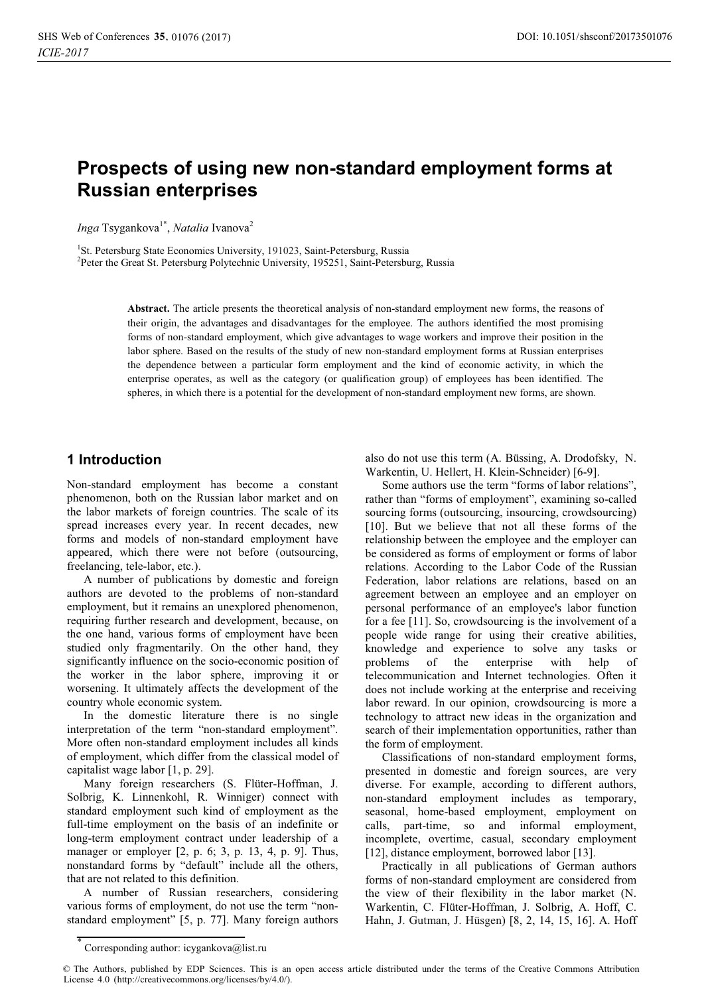# **Prospects of using new non-standard employment forms at Russian enterprises**

*Inga* Tsygankova<sup>1\*</sup>, *Natalia* Ivanova<sup>2</sup>

<sup>1</sup>St. Petersburg State Economics University, 191023, Saint-Petersburg, Russia<br><sup>2</sup>Peter the Great St. Petersburg Polytechnic University, 195251, Saint Petersbu

<sup>2</sup>Peter the Great St. Petersburg Polytechnic University, 195251, Saint-Petersburg, Russia

**Abstract.** The article presents the theoretical analysis of non-standard employment new forms, the reasons of their origin, the advantages and disadvantages for the employee. The authors identified the most promising forms of non-standard employment, which give advantages to wage workers and improve their position in the labor sphere. Based on the results of the study of new non-standard employment forms at Russian enterprises the dependence between a particular form employment and the kind of economic activity, in which the enterprise operates, as well as the category (or qualification group) of employees has been identified. The spheres, in which there is a potential for the development of non-standard employment new forms, are shown.

#### **1 Introduction**

Non-standard employment has become a constant phenomenon, both on the Russian labor market and on the labor markets of foreign countries. The scale of its spread increases every year. In recent decades, new forms and models of non-standard employment have appeared, which there were not before (outsourcing, freelancing, tele-labor, etc.).

A number of publications by domestic and foreign authors are devoted to the problems of non-standard employment, but it remains an unexplored phenomenon, requiring further research and development, because, on the one hand, various forms of employment have been studied only fragmentarily. On the other hand, they significantly influence on the socio-economic position of the worker in the labor sphere, improving it or worsening. It ultimately affects the development of the country whole economic system.

In the domestic literature there is no single interpretation of the term "non-standard employment". More often non-standard employment includes all kinds of employment, which differ from the classical model of capitalist wage labor [1, p. 29].

Many foreign researchers (S. Flüter-Hoffman, J. Solbrig, K. Linnenkohl, R. Winniger) connect with standard employment such kind of employment as the full-time employment on the basis of an indefinite or long-term employment contract under leadership of a manager or employer [2, p. 6; 3, p. 13, 4, p. 9]. Thus, nonstandard forms by "default" include all the others, that are not related to this definition.

A number of Russian researchers, considering various forms of employment, do not use the term "nonstandard employment" [5, p. 77]. Many foreign authors

also do not use this term (A. Büssing, A. Drodofsky, N. Warkentin, U. Hellert, H. Klein-Schneider) [6-9].

Some authors use the term "forms of labor relations", rather than "forms of employment", examining so-called sourcing forms (outsourcing, insourcing, crowdsourcing) [10]. But we believe that not all these forms of the relationship between the employee and the employer can be considered as forms of employment or forms of labor relations. According to the Labor Code of the Russian Federation, labor relations are relations, based on an agreement between an employee and an employer on personal performance of an employee's labor function for a fee [11]. So, crowdsourcing is the involvement of a people wide range for using their creative abilities, knowledge and experience to solve any tasks or problems of the enterprise with help of telecommunication and Internet technologies. Often it does not include working at the enterprise and receiving labor reward. In our opinion, crowdsourcing is more a technology to attract new ideas in the organization and search of their implementation opportunities, rather than the form of employment.

Classifications of non-standard employment forms, presented in domestic and foreign sources, are very diverse. For example, according to different authors, non-standard employment includes as temporary, seasonal, home-based employment, employment on calls, part-time, so and informal employment, incomplete, overtime, casual, secondary employment [12], distance employment, borrowed labor [13].

Practically in all publications of German authors forms of non-standard employment are considered from the view of their flexibility in the labor market (N. Warkentin, C. Flüter-Hoffman, J. Solbrig, A. Hoff, C. Hahn, J. Gutman, J. Hüsgen) [8, 2, 14, 15, 16]. A. Hoff

<sup>\*</sup> Corresponding author: icygankova@list.ru

<sup>©</sup> The Authors, published by EDP Sciences. This is an open access article distributed under the terms of the Creative Commons Attribution License 4.0 (http://creativecommons.org/licenses/by/4.0/).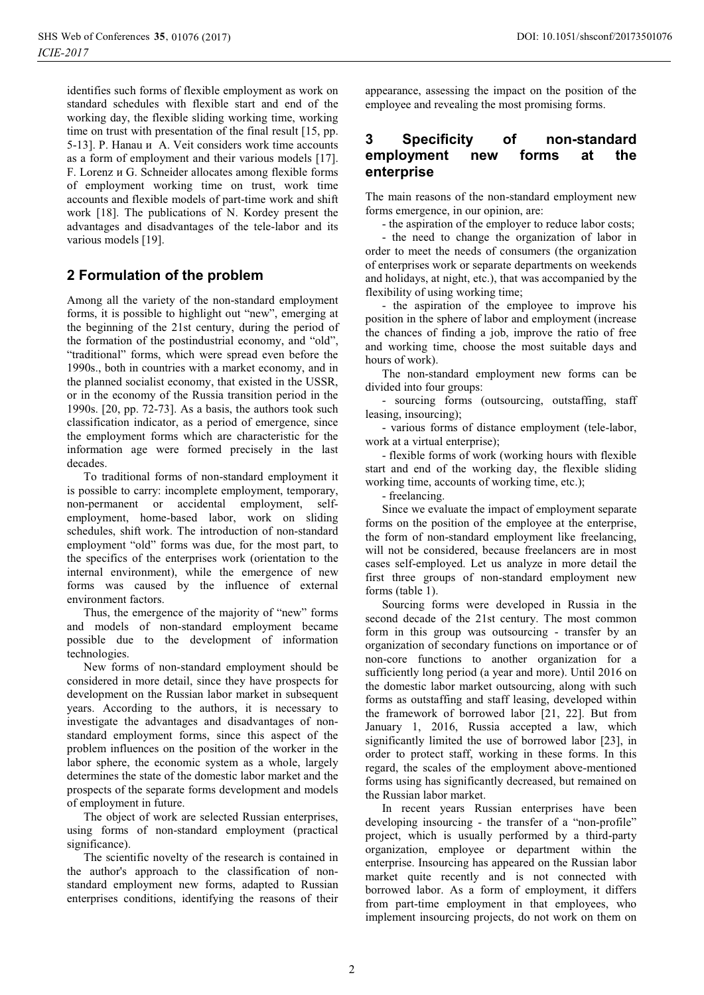identifies such forms of flexible employment as work on standard schedules with flexible start and end of the working day, the flexible sliding working time, working time on trust with presentation of the final result [15, pp. 5-13]. P. Hanau и A. Veit considers work time accounts as a form of employment and their various models [17]. F. Lorenz и G. Schneider allocates among flexible forms of employment working time on trust, work time accounts and flexible models of part-time work and shift work [18]. The publications of N. Kordey present the advantages and disadvantages of the tele-labor and its various models [19].

## **2 Formulation of the problem**

Among all the variety of the non-standard employment forms, it is possible to highlight out "new", emerging at the beginning of the 21st century, during the period of the formation of the postindustrial economy, and "old", "traditional" forms, which were spread even before the 1990s., both in countries with a market economy, and in the planned socialist economy, that existed in the USSR, or in the economy of the Russia transition period in the 1990s. [20, pp. 72-73]. As a basis, the authors took such classification indicator, as a period of emergence, since the employment forms which are characteristic for the information age were formed precisely in the last decades.

To traditional forms of non-standard employment it is possible to carry: incomplete employment, temporary, non-permanent or accidental employment, selfemployment, home-based labor, work on sliding schedules, shift work. The introduction of non-standard employment "old" forms was due, for the most part, to the specifics of the enterprises work (orientation to the internal environment), while the emergence of new forms was caused by the influence of external environment factors.

Thus, the emergence of the majority of "new" forms and models of non-standard employment became possible due to the development of information technologies.

New forms of non-standard employment should be considered in more detail, since they have prospects for development on the Russian labor market in subsequent years. According to the authors, it is necessary to investigate the advantages and disadvantages of nonstandard employment forms, since this aspect of the problem influences on the position of the worker in the labor sphere, the economic system as a whole, largely determines the state of the domestic labor market and the prospects of the separate forms development and models of employment in future.

The object of work are selected Russian enterprises, using forms of non-standard employment (practical significance).

The scientific novelty of the research is contained in the author's approach to the classification of nonstandard employment new forms, adapted to Russian enterprises conditions, identifying the reasons of their

appearance, assessing the impact on the position of the employee and revealing the most promising forms.

#### **3 Specificity of non-standard employment new forms at the enterprise**

The main reasons of the non-standard employment new forms emergence, in our opinion, are:

- the aspiration of the employer to reduce labor costs;

- the need to change the organization of labor in order to meet the needs of consumers (the organization of enterprises work or separate departments on weekends and holidays, at night, etc.), that was accompanied by the flexibility of using working time;

- the aspiration of the employee to improve his position in the sphere of labor and employment (increase the chances of finding a job, improve the ratio of free and working time, choose the most suitable days and hours of work).

The non-standard employment new forms can be divided into four groups:

- sourcing forms (outsourcing, outstaffing, staff leasing, insourcing);

- various forms of distance employment (tele-labor, work at a virtual enterprise);

- flexible forms of work (working hours with flexible start and end of the working day, the flexible sliding working time, accounts of working time, etc.);

- freelancing.

Since we evaluate the impact of employment separate forms on the position of the employee at the enterprise, the form of non-standard employment like freelancing, will not be considered, because freelancers are in most cases self-employed. Let us analyze in more detail the first three groups of non-standard employment new forms (table 1).

Sourcing forms were developed in Russia in the second decade of the 21st century. The most common form in this group was outsourcing - transfer by an organization of secondary functions on importance or of non-core functions to another organization for a sufficiently long period (a year and more). Until 2016 on the domestic labor market outsourcing, along with such forms as outstaffing and staff leasing, developed within the framework of borrowed labor [21, 22]. But from January 1, 2016, Russia accepted a law, which significantly limited the use of borrowed labor [23], in order to protect staff, working in these forms. In this regard, the scales of the employment above-mentioned forms using has significantly decreased, but remained on the Russian labor market.

In recent years Russian enterprises have been developing insourcing - the transfer of a "non-profile" project, which is usually performed by a third-party organization, employee or department within the enterprise. Insourcing has appeared on the Russian labor market quite recently and is not connected with borrowed labor. As a form of employment, it differs from part-time employment in that employees, who implement insourcing projects, do not work on them on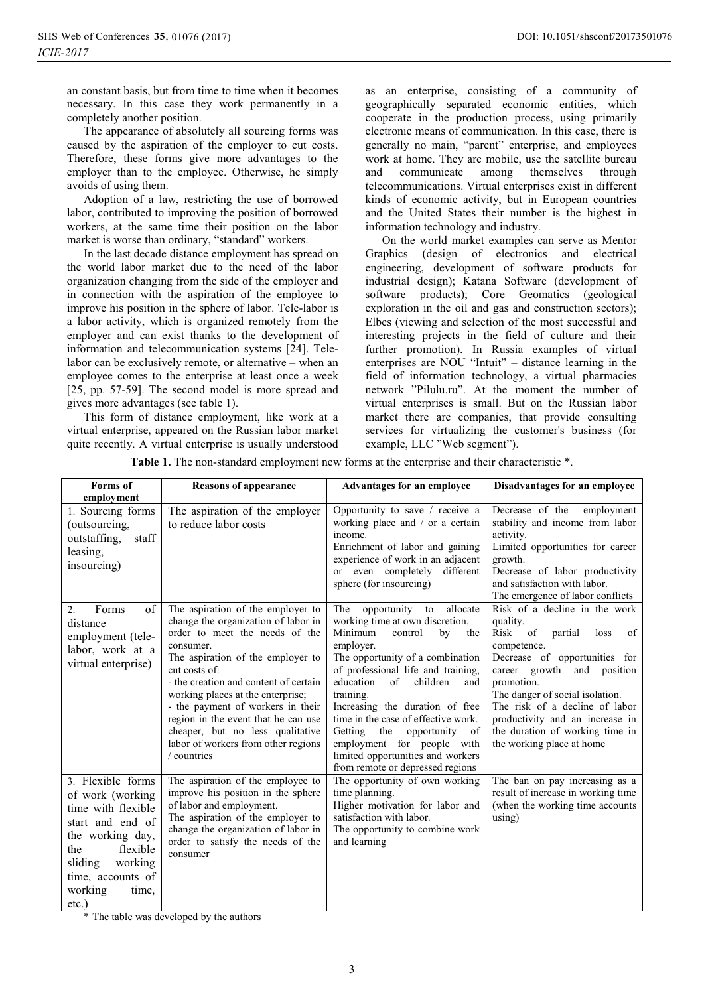an constant basis, but from time to time when it becomes necessary. In this case they work permanently in a completely another position.

The appearance of absolutely all sourcing forms was caused by the aspiration of the employer to cut costs. Therefore, these forms give more advantages to the employer than to the employee. Otherwise, he simply avoids of using them.

Adoption of a law, restricting the use of borrowed labor, contributed to improving the position of borrowed workers, at the same time their position on the labor market is worse than ordinary, "standard" workers.

In the last decade distance employment has spread on the world labor market due to the need of the labor organization changing from the side of the employer and in connection with the aspiration of the employee to improve his position in the sphere of labor. Tele-labor is a labor activity, which is organized remotely from the employer and can exist thanks to the development of information and telecommunication systems [24]. Telelabor can be exclusively remote, or alternative – when an employee comes to the enterprise at least once a week [25, pp. 57-59]. The second model is more spread and gives more advantages (see table 1).

This form of distance employment, like work at a virtual enterprise, appeared on the Russian labor market quite recently. A virtual enterprise is usually understood

as an enterprise, consisting of a community of geographically separated economic entities, which cooperate in the production process, using primarily electronic means of communication. In this case, there is generally no main, "parent" enterprise, and employees work at home. They are mobile, use the satellite bureau and communicate among themselves through telecommunications. Virtual enterprises exist in different kinds of economic activity, but in European countries and the United States their number is the highest in information technology and industry.

On the world market examples can serve as Mentor Graphics (design of electronics and electrical engineering, development of software products for industrial design); Katana Software (development of software products); Core Geomatics (geological exploration in the oil and gas and construction sectors); Elbes (viewing and selection of the most successful and interesting projects in the field of culture and their further promotion). In Russia examples of virtual enterprises are NOU "Intuit" – distance learning in the field of information technology, a virtual pharmacies network "Pilulu.ru". At the moment the number of virtual enterprises is small. But on the Russian labor market there are companies, that provide consulting services for virtualizing the customer's business (for example, LLC "Web segment").

| Forms of                                                                                                                                                                                          | <b>Reasons of appearance</b>                                                                                                                                                                                                                                                                                                                                                                                                      | <b>Advantages for an employee</b>                                                                                                                                                                                                                                                                                                                                                                                                                                         | Disadvantages for an employee                                                                                                                                                                                                                                                                                                                        |  |
|---------------------------------------------------------------------------------------------------------------------------------------------------------------------------------------------------|-----------------------------------------------------------------------------------------------------------------------------------------------------------------------------------------------------------------------------------------------------------------------------------------------------------------------------------------------------------------------------------------------------------------------------------|---------------------------------------------------------------------------------------------------------------------------------------------------------------------------------------------------------------------------------------------------------------------------------------------------------------------------------------------------------------------------------------------------------------------------------------------------------------------------|------------------------------------------------------------------------------------------------------------------------------------------------------------------------------------------------------------------------------------------------------------------------------------------------------------------------------------------------------|--|
| employment<br>1. Sourcing forms<br>(outsourcing,<br>$\operatorname{staff}$<br>outstaffing,<br>leasing,<br>insourcing)                                                                             | The aspiration of the employer<br>to reduce labor costs                                                                                                                                                                                                                                                                                                                                                                           | Opportunity to save / receive a<br>working place and / or a certain<br>income.<br>Enrichment of labor and gaining<br>experience of work in an adjacent<br>or even completely different<br>sphere (for insourcing)                                                                                                                                                                                                                                                         | Decrease of the<br>employment<br>stability and income from labor<br>activity.<br>Limited opportunities for career<br>growth.<br>Decrease of labor productivity<br>and satisfaction with labor.<br>The emergence of labor conflicts                                                                                                                   |  |
| of<br>Forms<br>2.<br>distance<br>employment (tele-<br>labor, work at a<br>virtual enterprise)                                                                                                     | The aspiration of the employer to<br>change the organization of labor in<br>order to meet the needs of the<br>consumer.<br>The aspiration of the employer to<br>cut costs of:<br>- the creation and content of certain<br>working places at the enterprise;<br>- the payment of workers in their<br>region in the event that he can use<br>cheaper, but no less qualitative<br>labor of workers from other regions<br>/ countries | opportunity<br>allocate<br>The<br>to<br>working time at own discretion.<br>Minimum<br>control<br>by<br>the<br>employer.<br>The opportunity of a combination<br>of professional life and training,<br>education<br>children<br>of<br>and<br>training.<br>Increasing the duration of free<br>time in the case of effective work.<br>Getting the<br>opportunity<br>of<br>employment for people with<br>limited opportunities and workers<br>from remote or depressed regions | Risk of a decline in the work<br>quality.<br>Risk<br>of<br>partial<br>of<br>loss<br>competence.<br>Decrease of opportunities for<br>career growth and position<br>promotion.<br>The danger of social isolation.<br>The risk of a decline of labor<br>productivity and an increase in<br>the duration of working time in<br>the working place at home |  |
| 3. Flexible forms<br>of work (working<br>time with flexible<br>start and end of<br>the working day,<br>flexible<br>the<br>sliding<br>working<br>time, accounts of<br>working<br>time,<br>$etc.$ ) | The aspiration of the employee to<br>improve his position in the sphere<br>of labor and employment.<br>The aspiration of the employer to<br>change the organization of labor in<br>order to satisfy the needs of the<br>consumer                                                                                                                                                                                                  | The opportunity of own working<br>time planning.<br>Higher motivation for labor and<br>satisfaction with labor.<br>The opportunity to combine work<br>and learning                                                                                                                                                                                                                                                                                                        | The ban on pay increasing as a<br>result of increase in working time<br>(when the working time accounts<br>using)                                                                                                                                                                                                                                    |  |

Table 1. The non-standard employment new forms at the enterprise and their characteristic  $*$ .

\* The table was developed by the authors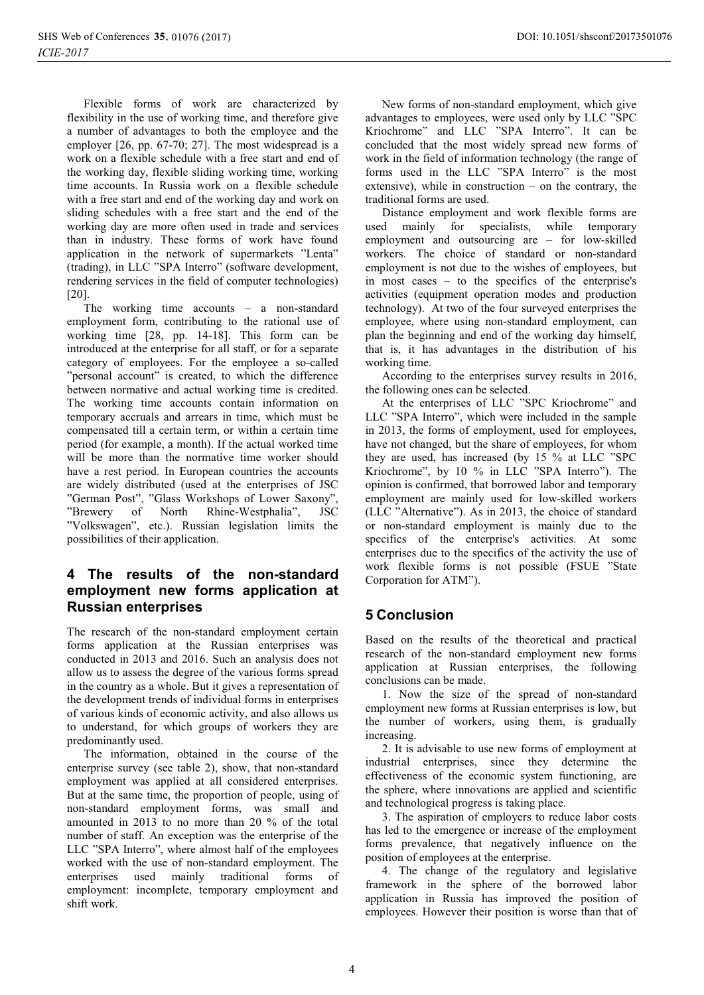Flexible forms of work are characterized by flexibility in the use of working time, and therefore give a number of advantages to both the employee and the employer [26, pp. 67-70; 27]. The most widespread is a work on a flexible schedule with a free start and end of the working day, flexible sliding working time, working time accounts. In Russia work on a flexible schedule with a free start and end of the working day and work on sliding schedules with a free start and the end of the working day are more often used in trade and services than in industry. These forms of work have found application in the network of supermarkets "Lenta" (trading), in LLC "SPA Interro" (software development, rendering services in the field of computer technologies) [20].

The working time accounts – a non-standard employment form, contributing to the rational use of working time [28, pp. 14-18]. This form can be introduced at the enterprise for all staff, or for a separate category of employees. For the employee a so-called "personal account" is created, to which the difference between normative and actual working time is credited. The working time accounts contain information on temporary accruals and arrears in time, which must be compensated till a certain term, or within a certain time period (for example, a month). If the actual worked time will be more than the normative time worker should have a rest period. In European countries the accounts are widely distributed (used at the enterprises of JSC "German Post", "Glass Workshops of Lower Saxony", "Brewery of North Rhine-Westphalia", JSC "Volkswagen", etc.). Russian legislation limits the possibilities of their application.

## **4 The results of the non-standard employment new forms application at Russian enterprises**

The research of the non-standard employment certain forms application at the Russian enterprises was conducted in 2013 and 2016. Such an analysis does not allow us to assess the degree of the various forms spread in the country as a whole. But it gives a representation of the development trends of individual forms in enterprises of various kinds of economic activity, and also allows us to understand, for which groups of workers they are predominantly used.

The information, obtained in the course of the enterprise survey (see table 2), show, that non-standard employment was applied at all considered enterprises. But at the same time, the proportion of people, using of non-standard employment forms, was small and amounted in 2013 to no more than 20 % of the total number of staff. An exception was the enterprise of the LLC "SPA Interro", where almost half of the employees worked with the use of non-standard employment. The enterprises used mainly traditional forms of employment: incomplete, temporary employment and shift work.

New forms of non-standard employment, which give advantages to employees, were used only by LLC "SPC Kriochrome" and LLC "SPA Interro". It can be concluded that the most widely spread new forms of work in the field of information technology (the range of forms used in the LLC "SPA Interro" is the most extensive), while in construction – on the contrary, the traditional forms are used.

Distance employment and work flexible forms are used mainly for specialists, while temporary employment and outsourcing are – for low-skilled workers. The choice of standard or non-standard employment is not due to the wishes of employees, but in most cases – to the specifics of the enterprise's activities (equipment operation modes and production technology). At two of the four surveyed enterprises the employee, where using non-standard employment, can plan the beginning and end of the working day himself, that is, it has advantages in the distribution of his working time.

According to the enterprises survey results in 2016, the following ones can be selected.

At the enterprises of LLC "SPC Kriochrome" and LLC "SPA Interro", which were included in the sample in 2013, the forms of employment, used for employees, have not changed, but the share of employees, for whom they are used, has increased (by 15 % at LLC "SPC Kriochrome", by 10 % in LLC "SPA Interro"). The opinion is confirmed, that borrowed labor and temporary employment are mainly used for low-skilled workers (LLC "Alternative"). As in 2013, the choice of standard or non-standard employment is mainly due to the specifics of the enterprise's activities. At some enterprises due to the specifics of the activity the use of work flexible forms is not possible (FSUE "State Corporation for ATM").

# **5 Conclusion**

Based on the results of the theoretical and practical research of the non-standard employment new forms application at Russian enterprises, the following conclusions can be made.

1. Now the size of the spread of non-standard employment new forms at Russian enterprises is low, but the number of workers, using them, is gradually increasing.

2. It is advisable to use new forms of employment at industrial enterprises, since they determine the effectiveness of the economic system functioning, are the sphere, where innovations are applied and scientific and technological progress is taking place.

3. The aspiration of employers to reduce labor costs has led to the emergence or increase of the employment forms prevalence, that negatively influence on the position of employees at the enterprise.

4. The change of the regulatory and legislative framework in the sphere of the borrowed labor application in Russia has improved the position of employees. However their position is worse than that of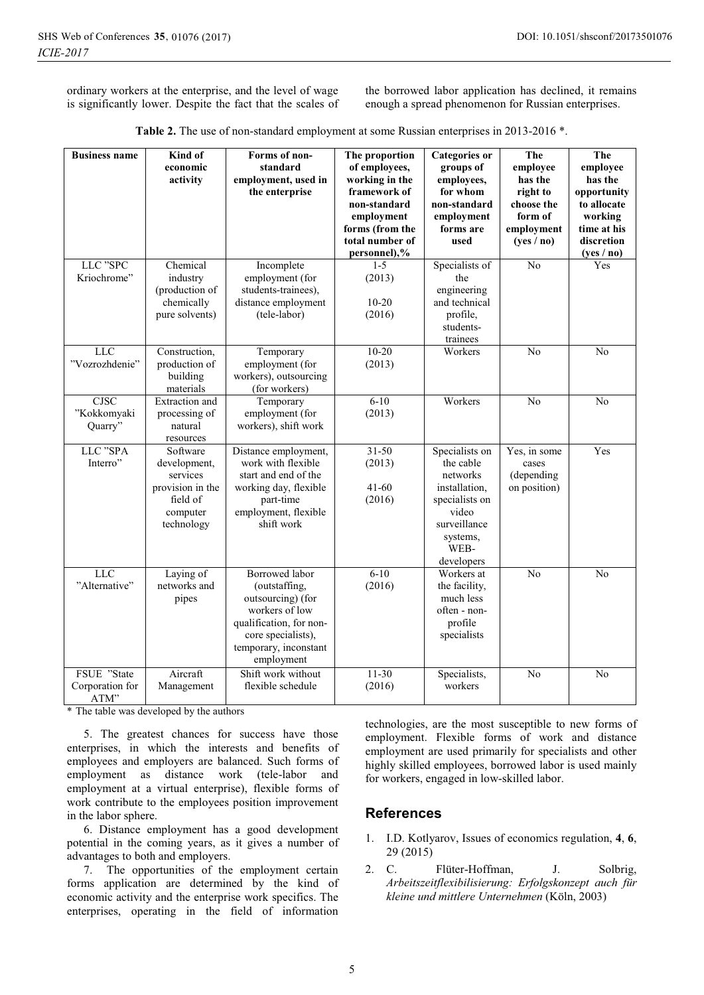ordinary workers at the enterprise, and the level of wage is significantly lower. Despite the fact that the scales of the borrowed labor application has declined, it remains enough a spread phenomenon for Russian enterprises.

| Table 2. The use of non-standard employment at some Russian enterprises in 2013-2016 *. |  |  |
|-----------------------------------------------------------------------------------------|--|--|
|-----------------------------------------------------------------------------------------|--|--|

| <b>Business name</b>                   | Kind of<br>economic<br>activity                                                                | Forms of non-<br>standard<br>employment, used in<br>the enterprise                                                                                                    | The proportion<br>of employees,<br>working in the<br>framework of<br>non-standard<br>employment<br>forms (from the<br>total number of<br>personnel),% | Categories or<br>groups of<br>employees,<br>for whom<br>non-standard<br>employment<br>forms are<br>used                               | <b>The</b><br>emplovee<br>has the<br>right to<br>choose the<br>form of<br>employment<br>(yes / no) | The<br>employee<br>has the<br>opportunity<br>to allocate<br>working<br>time at his<br>discretion<br>(yes / no) |
|----------------------------------------|------------------------------------------------------------------------------------------------|-----------------------------------------------------------------------------------------------------------------------------------------------------------------------|-------------------------------------------------------------------------------------------------------------------------------------------------------|---------------------------------------------------------------------------------------------------------------------------------------|----------------------------------------------------------------------------------------------------|----------------------------------------------------------------------------------------------------------------|
| LLC "SPC<br>Kriochrome"                | Chemical<br>industry<br>(production of<br>chemically<br>pure solvents)                         | Incomplete<br>employment (for<br>students-trainees),<br>distance employment<br>(tele-labor)                                                                           | $1 - 5$<br>(2013)<br>$10 - 20$<br>(2016)                                                                                                              | Specialists of<br>the<br>engineering<br>and technical<br>profile,<br>students-<br>trainees                                            | N <sub>o</sub>                                                                                     | Yes                                                                                                            |
| $_{\rm LLC}$<br>"Vozrozhdenie"         | Construction,<br>production of<br>building<br>materials                                        | Temporary<br>employment (for<br>workers), outsourcing<br>(for workers)                                                                                                | $10 - 20$<br>(2013)                                                                                                                                   | Workers                                                                                                                               | No                                                                                                 | No                                                                                                             |
| <b>CJSC</b><br>"Kokkomyaki<br>Quarry"  | Extraction and<br>processing of<br>natural<br>resources                                        | Temporary<br>employment (for<br>workers), shift work                                                                                                                  | $6 - 10$<br>(2013)                                                                                                                                    | Workers                                                                                                                               | N <sub>o</sub>                                                                                     | No                                                                                                             |
| LLC "SPA<br>Interro"                   | Software<br>development,<br>services<br>provision in the<br>field of<br>computer<br>technology | Distance employment,<br>work with flexible<br>start and end of the<br>working day, flexible<br>part-time<br>employment, flexible<br>shift work                        | $31 - 50$<br>(2013)<br>$41 - 60$<br>(2016)                                                                                                            | Specialists on<br>the cable<br>networks<br>installation,<br>specialists on<br>video<br>surveillance<br>systems,<br>WEB-<br>developers | Yes, in some<br>cases<br>(depending<br>on position)                                                | Yes                                                                                                            |
| <b>LLC</b><br>"Alternative"            | Laying of<br>networks and<br>pipes                                                             | <b>Borrowed</b> labor<br>(outstaffing,<br>outsourcing) (for<br>workers of low<br>qualification, for non-<br>core specialists),<br>temporary, inconstant<br>employment | $6-10$<br>(2016)                                                                                                                                      | Workers at<br>the facility,<br>much less<br>often - non-<br>profile<br>specialists                                                    | N <sub>o</sub>                                                                                     | No                                                                                                             |
| FSUE "State<br>Corporation for<br>ATM" | Aircraft<br>Management                                                                         | Shift work without<br>flexible schedule                                                                                                                               | $11-30$<br>(2016)                                                                                                                                     | Specialists,<br>workers                                                                                                               | N <sub>o</sub>                                                                                     | No                                                                                                             |

\* The table was developed by the authors

5. The greatest chances for success have those enterprises, in which the interests and benefits of employees and employers are balanced. Such forms of employment as distance work (tele-labor and employment at a virtual enterprise), flexible forms of work contribute to the employees position improvement in the labor sphere.

6. Distance employment has a good development potential in the coming years, as it gives a number of advantages to both and employers.

7. The opportunities of the employment certain forms application are determined by the kind of economic activity and the enterprise work specifics. The enterprises, operating in the field of information

technologies, are the most susceptible to new forms of employment. Flexible forms of work and distance employment are used primarily for specialists and other highly skilled employees, borrowed labor is used mainly for workers, engaged in low-skilled labor.

#### **References**

- 1. I.D. Kotlyarov, Issues of economics regulation, **4**, **6**, 29 (2015)
- 2. C. Flüter-Hoffman, J. Solbrig, *Arbeitszeitflexibilisierung: Erfolgskonzept auch für kleine und mittlere Unternehmen* (Köln, 2003)